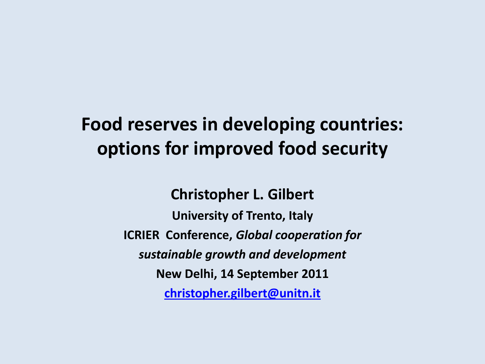### **Food reserves in developing countries: options for improved food security**

**Christopher L. Gilbert**

**University of Trento, Italy ICRIER Conference,** *Global cooperation for sustainable growth and development* **New Delhi, 14 September 2011 [christopher.gilbert@unitn.it](mailto:christopher.gilbert@unitn.it)**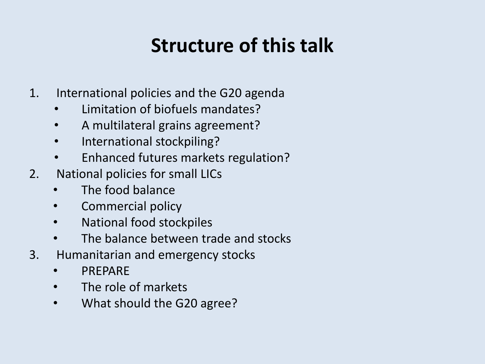### **Structure of this talk**

- 1. International policies and the G20 agenda
	- Limitation of biofuels mandates?
	- A multilateral grains agreement?
	- International stockpiling?
	- Enhanced futures markets regulation?
- 2. National policies for small LICs
	- The food balance
	- Commercial policy
	- National food stockpiles
	- The balance between trade and stocks
- 3. Humanitarian and emergency stocks
	- PREPARE
	- The role of markets
	- What should the G20 agree?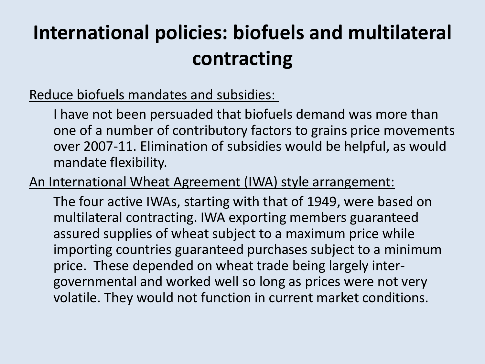# **International policies: biofuels and multilateral contracting**

### Reduce biofuels mandates and subsidies:

I have not been persuaded that biofuels demand was more than one of a number of contributory factors to grains price movements over 2007-11. Elimination of subsidies would be helpful, as would mandate flexibility.

An International Wheat Agreement (IWA) style arrangement:

The four active IWAs, starting with that of 1949, were based on multilateral contracting. IWA exporting members guaranteed assured supplies of wheat subject to a maximum price while importing countries guaranteed purchases subject to a minimum price. These depended on wheat trade being largely intergovernmental and worked well so long as prices were not very volatile. They would not function in current market conditions.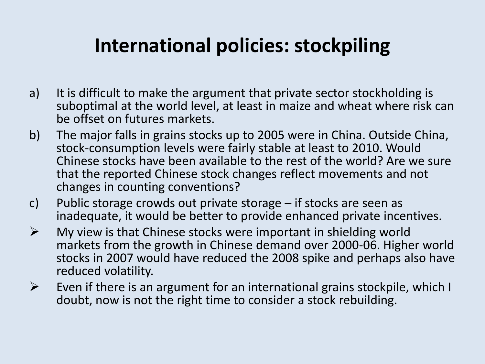### **International policies: stockpiling**

- a) It is difficult to make the argument that private sector stockholding is suboptimal at the world level, at least in maize and wheat where risk can be offset on futures markets.
- b) The major falls in grains stocks up to 2005 were in China. Outside China, stock-consumption levels were fairly stable at least to 2010. Would Chinese stocks have been available to the rest of the world? Are we sure that the reported Chinese stock changes reflect movements and not changes in counting conventions?
- c) Public storage crowds out private storage if stocks are seen as inadequate, it would be better to provide enhanced private incentives.
- $\triangleright$  My view is that Chinese stocks were important in shielding world markets from the growth in Chinese demand over 2000-06. Higher world stocks in 2007 would have reduced the 2008 spike and perhaps also have reduced volatility.
- $\triangleright$  Even if there is an argument for an international grains stockpile, which I doubt, now is not the right time to consider a stock rebuilding.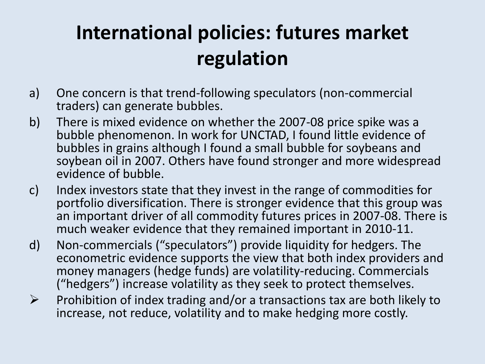# **International policies: futures market regulation**

- a) One concern is that trend-following speculators (non-commercial traders) can generate bubbles.
- b) There is mixed evidence on whether the 2007-08 price spike was a bubble phenomenon. In work for UNCTAD, I found little evidence of bubbles in grains although I found a small bubble for soybeans and soybean oil in 2007. Others have found stronger and more widespread evidence of bubble.
- c) Index investors state that they invest in the range of commodities for portfolio diversification. There is stronger evidence that this group was an important driver of all commodity futures prices in 2007-08. There is much weaker evidence that they remained important in 2010-11.
- d) Non-commercials ("speculators") provide liquidity for hedgers. The econometric evidence supports the view that both index providers and money managers (hedge funds) are volatility-reducing. Commercials ("hedgers") increase volatility as they seek to protect themselves.
- $\triangleright$  Prohibition of index trading and/or a transactions tax are both likely to increase, not reduce, volatility and to make hedging more costly.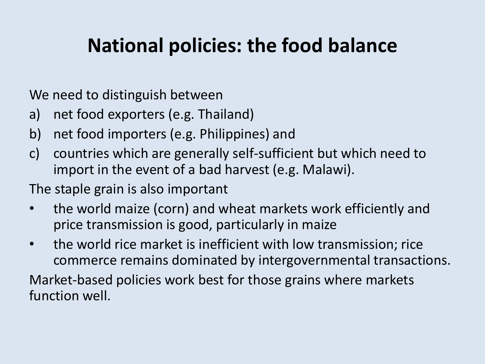### **National policies: the food balance**

We need to distinguish between

- a) net food exporters (e.g. Thailand)
- b) net food importers (e.g. Philippines) and
- c) countries which are generally self-sufficient but which need to import in the event of a bad harvest (e.g. Malawi).

The staple grain is also important

- the world maize (corn) and wheat markets work efficiently and price transmission is good, particularly in maize
- the world rice market is inefficient with low transmission; rice commerce remains dominated by intergovernmental transactions.

Market-based policies work best for those grains where markets function well.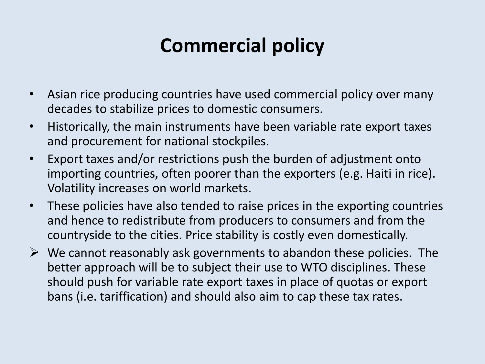## **Commercial policy**

- Asian rice producing countries have used commercial policy over many decades to stabilize prices to domestic consumers.
- Historically, the main instruments have been variable rate export taxes and procurement for national stockpiles.
- Export taxes and/or restrictions push the burden of adjustment onto importing countries, often poorer than the exporters (e.g. Haiti in rice). Volatility increases on world markets.
- These policies have also tended to raise prices in the exporting countries and hence to redistribute from producers to consumers and from the countryside to the cities. Price stability is costly even domestically.
- $\triangleright$  We cannot reasonably ask governments to abandon these policies. The better approach will be to subject their use to WTO disciplines. These should push for variable rate export taxes in place of quotas or export bans (i.e. tariffication) and should also aim to cap these tax rates.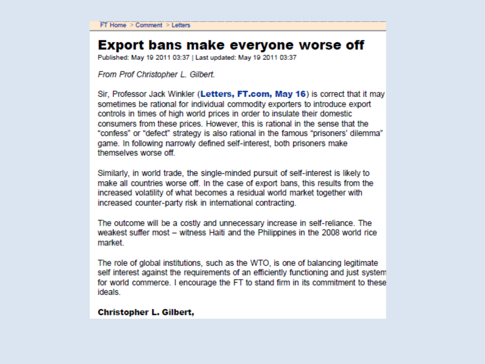### **Export bans make everyone worse off**

Published: May 19 2011 03:37 | Last updated: May 19 2011 03:37

From Prof Christopher L. Gilbert.

Sir, Professor Jack Winkler (Letters, FT.com, May 16) is correct that it may sometimes be rational for individual commodity exporters to introduce export controls in times of high world prices in order to insulate their domestic consumers from these prices. However, this is rational in the sense that the "confess" or "defect" strategy is also rational in the famous "prisoners' dilemma" game. In following narrowly defined self-interest, both prisoners make themselves worse off.

Similarly, in world trade, the single-minded pursuit of self-interest is likely to make all countries worse off. In the case of export bans, this results from the increased volatility of what becomes a residual world market together with increased counter-party risk in international contracting.

The outcome will be a costly and unnecessary increase in self-reliance. The weakest suffer most – witness Haiti and the Philippines in the 2008 world rice market.

The role of global institutions, such as the WTO, is one of balancing legitimate self interest against the requirements of an efficiently functioning and just system for world commerce. I encourage the FT to stand firm in its commitment to these ideals.

#### Christopher L. Gilbert,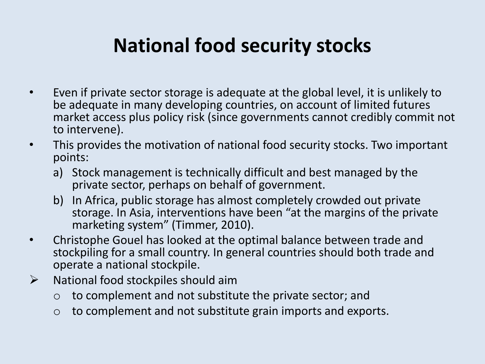### **National food security stocks**

- Even if private sector storage is adequate at the global level, it is unlikely to be adequate in many developing countries, on account of limited futures market access plus policy risk (since governments cannot credibly commit not to intervene).
- This provides the motivation of national food security stocks. Two important points:
	- a) Stock management is technically difficult and best managed by the private sector, perhaps on behalf of government.
	- b) In Africa, public storage has almost completely crowded out private storage. In Asia, interventions have been "at the margins of the private marketing system" (Timmer, 2010).
- Christophe Gouel has looked at the optimal balance between trade and stockpiling for a small country. In general countries should both trade and operate a national stockpile.
- $\triangleright$  National food stockpiles should aim
	- $\circ$  to complement and not substitute the private sector; and
	- $\circ$  to complement and not substitute grain imports and exports.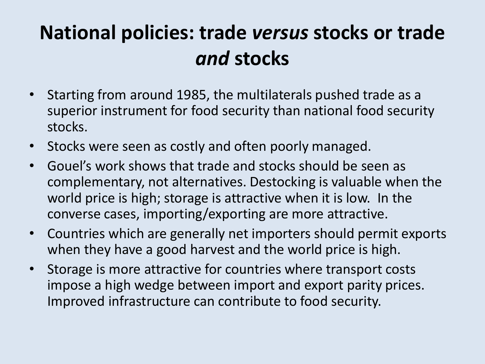### **National policies: trade** *versus* **stocks or trade**  *and* **stocks**

- Starting from around 1985, the multilaterals pushed trade as a superior instrument for food security than national food security stocks.
- Stocks were seen as costly and often poorly managed.
- Gouel's work shows that trade and stocks should be seen as complementary, not alternatives. Destocking is valuable when the world price is high; storage is attractive when it is low. In the converse cases, importing/exporting are more attractive.
- Countries which are generally net importers should permit exports when they have a good harvest and the world price is high.
- Storage is more attractive for countries where transport costs impose a high wedge between import and export parity prices. Improved infrastructure can contribute to food security.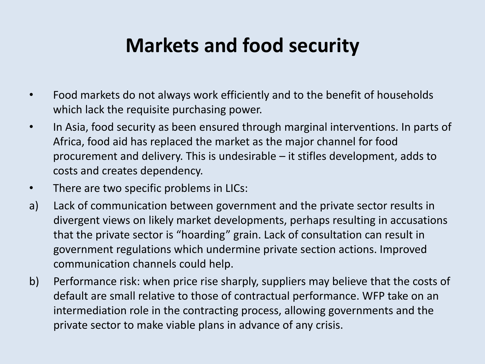### **Markets and food security**

- Food markets do not always work efficiently and to the benefit of households which lack the requisite purchasing power.
- In Asia, food security as been ensured through marginal interventions. In parts of Africa, food aid has replaced the market as the major channel for food procurement and delivery. This is undesirable – it stifles development, adds to costs and creates dependency.
- There are two specific problems in LICs:
- a) Lack of communication between government and the private sector results in divergent views on likely market developments, perhaps resulting in accusations that the private sector is "hoarding" grain. Lack of consultation can result in government regulations which undermine private section actions. Improved communication channels could help.
- b) Performance risk: when price rise sharply, suppliers may believe that the costs of default are small relative to those of contractual performance. WFP take on an intermediation role in the contracting process, allowing governments and the private sector to make viable plans in advance of any crisis.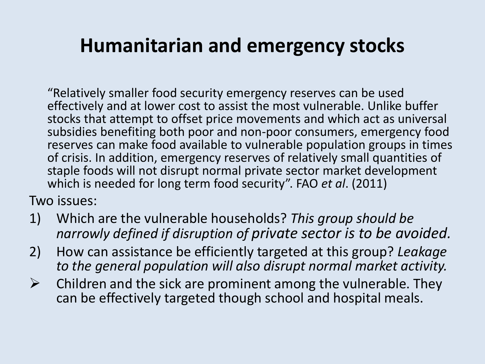### **Humanitarian and emergency stocks**

"Relatively smaller food security emergency reserves can be used effectively and at lower cost to assist the most vulnerable. Unlike buffer stocks that attempt to offset price movements and which act as universal subsidies benefiting both poor and non-poor consumers, emergency food reserves can make food available to vulnerable population groups in times of crisis. In addition, emergency reserves of relatively small quantities of staple foods will not disrupt normal private sector market development which is needed for long term food security". FAO *et al*. (2011)

Two issues:

- 1) Which are the vulnerable households? *This group should be narrowly defined if disruption of private sector is to be avoided.*
- 2) How can assistance be efficiently targeted at this group? *Leakage to the general population will also disrupt normal market activity.*
- $\triangleright$  Children and the sick are prominent among the vulnerable. They can be effectively targeted though school and hospital meals.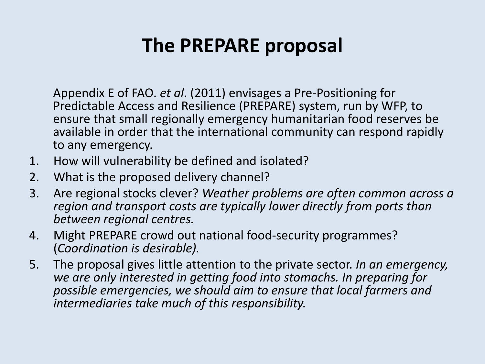### **The PREPARE proposal**

Appendix E of FAO. *et al*. (2011) envisages a Pre-Positioning for Predictable Access and Resilience (PREPARE) system, run by WFP, to ensure that small regionally emergency humanitarian food reserves be available in order that the international community can respond rapidly to any emergency.

- 1. How will vulnerability be defined and isolated?
- 2. What is the proposed delivery channel?
- 3. Are regional stocks clever? *Weather problems are often common across a region and transport costs are typically lower directly from ports than between regional centres.*
- 4. Might PREPARE crowd out national food-security programmes? (*Coordination is desirable).*
- 5. The proposal gives little attention to the private sector. *In an emergency, we are only interested in getting food into stomachs. In preparing for possible emergencies, we should aim to ensure that local farmers and intermediaries take much of this responsibility.*